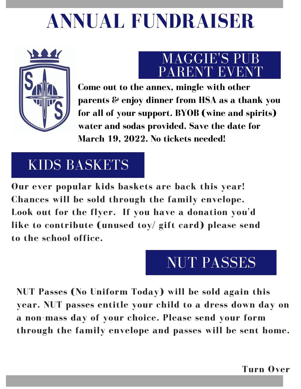# **ANNUAL FUNDRAISER**



### MAGGIE'S PUB PARENT EVENT

**Come out to the annex, mingle with other parents & enjoy dinner from HSA as a thank you for all of your support. BYOB (wine and spirits) water and sodas provided. Save the date for March 19, 2022. No tickets needed!**

## KIDS BASKETS

**Our ever popular kids baskets are back this year! Chances will be sold through the family envelope. Look out for the flyer. If you have a donation you 'd like to contribute (unused toy/ gift card) please send to the school office.**

## NUT PASSES

**NUT Passes (No Uniform Today) will be sold again this year. NUT passes entitle your child to a dress down day on a non-mass day of your choice. Please send your form through the family envelope and passes will be sent home.**